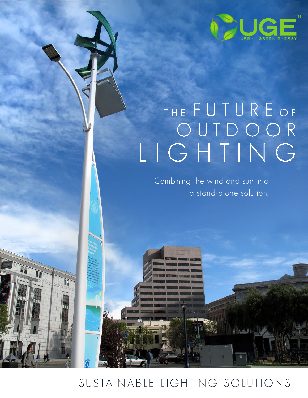

# THE FUTURE OF O U T D O O R LIGHTING

Combining the wind and sun into a stand-alone solution.

**ILEVAL** 

### SUSTAIN ABLE LIGHTING SOLUTIONS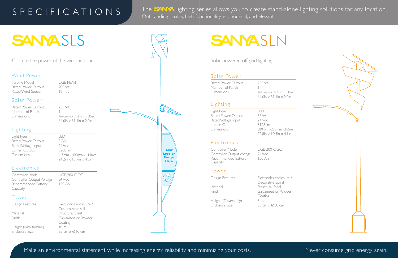#### Solar Power

Rated Power Output 235 W Number of Panels 1

Dimensions 1640mm x 992mm x 50mm 64.6in  $\times$  39.1in  $\times$  2.0in

Dimensions 580mm x278mm x105mm  $22.8$ in  $\times$  10.9in  $\times$  4.1in

#### **Electronics**

#### Lighting

Light Type LED Rated Power Output 56 W Rated Voltage Input 24 Vdc Lumen Output 3128 lm

Controller Model UGE-200-OGC Controller Output Voltage 24 Vdc Recommended Battery 150 Ah Capacity

#### Tower

Height (Tower only) 8 m Enclosure Size 85 cm x Ø60 cm

Design Features Electronics enclosure / Decorative Spiral Material Structural Steel Finish Galvanized or Powder Coating

Make an environmental statement while increasing energy reliability and minimizing your costs. Never consume grid energy again.



Design Features Electronics enclosure / Customizable sail Material Structural Steel Finish Galvanized or Powder Coating Height (with turbine) 10 m Enclosure Size 85 cm x Ø60 cm

Solar powered off-grid lighting.

#### Wind Power

Turbine Model UGE-HoYi! Rated Power Output 200 W Rated Wind Speed 12 m/s

#### Solar Power

### S P E C I F I C A T I O N S

The **SANA** lighting series allows you to create stand-alone lighting solutions for any location. Outstanding quality, high functionality, economical, and elegant.

| Rated Power Output | 235 W     |
|--------------------|-----------|
| Number of Panels   |           |
| Dimensions         | 1640mr    |
|                    | $64$ 6in. |

# SANYASLS

#### $m \times 992$ mm  $\times$  50mm 64.6in  $\times$  39.1in  $\times$  2.0in

#### Lighting

Light Type LED Rated Power Output 84W Rated Voltage Input 24 Vdc Lumen Output 5208 lm Dimensions 615mm x 400mm x 115mm

 $24.2$ in  $\times$  15.7in  $\times$  4.5in

#### **Electronics**

Controller Model UGE-200-OGC Controller Output Voltage 24 Vdc Recommended Battery 150 Ah Capacity

#### Tower

**Your Logo or Design Here**

# SANYASLN

Capture the power of the wind and sun.